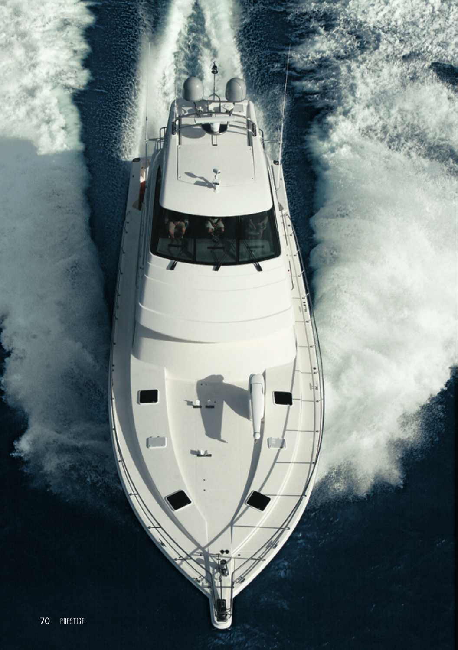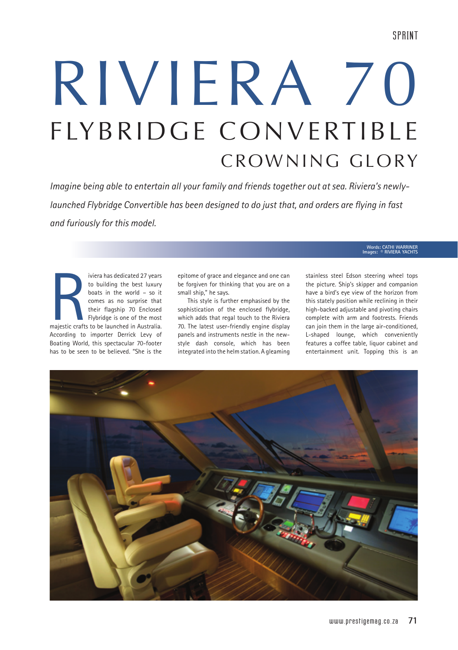## **sprint**

## FLYBRIDGE CONVERTIBLE RIVIERA 70 CROWNING GLORY

*Imagine being able to entertain all your family and friends together out at sea. Riviera's newlylaunched Flybridge Convertible has been designed to do just that, and orders are flying in fast and furiously for this model.*

## **Words: CathI Warriner Images: © riviera yachts**

Figure and dedicated 27 years<br>to building the best luxury<br>boats in the world – so it<br>comes as no surprise that<br>their flagship 70 Enclosed<br>Flybridge is one of the most<br>majestic crafts to be launched in Australia. iviera has dedicated 27 years to building the best luxury boats in the world – so it comes as no surprise that their flagship 70 Enclosed Flybridge is one of the most According to importer Derrick Levy of Boating World, this spectacular 70-footer has to be seen to be believed. "She is the

epitome of grace and elegance and one can be forgiven for thinking that you are on a small ship," he says.

This style is further emphasised by the sophistication of the enclosed flybridge, which adds that regal touch to the Riviera 70. The latest user-friendly engine display panels and instruments nestle in the newstyle dash console, which has been integrated into the helm station. A gleaming

stainless steel Edson steering wheel tops the picture. Ship's skipper and companion have a bird's eye view of the horizon from this stately position while reclining in their high-backed adjustable and pivoting chairs complete with arm and footrests. Friends can join them in the large air-conditioned, L-shaped lounge, which conveniently features a coffee table, liquor cabinet and entertainment unit. Topping this is an